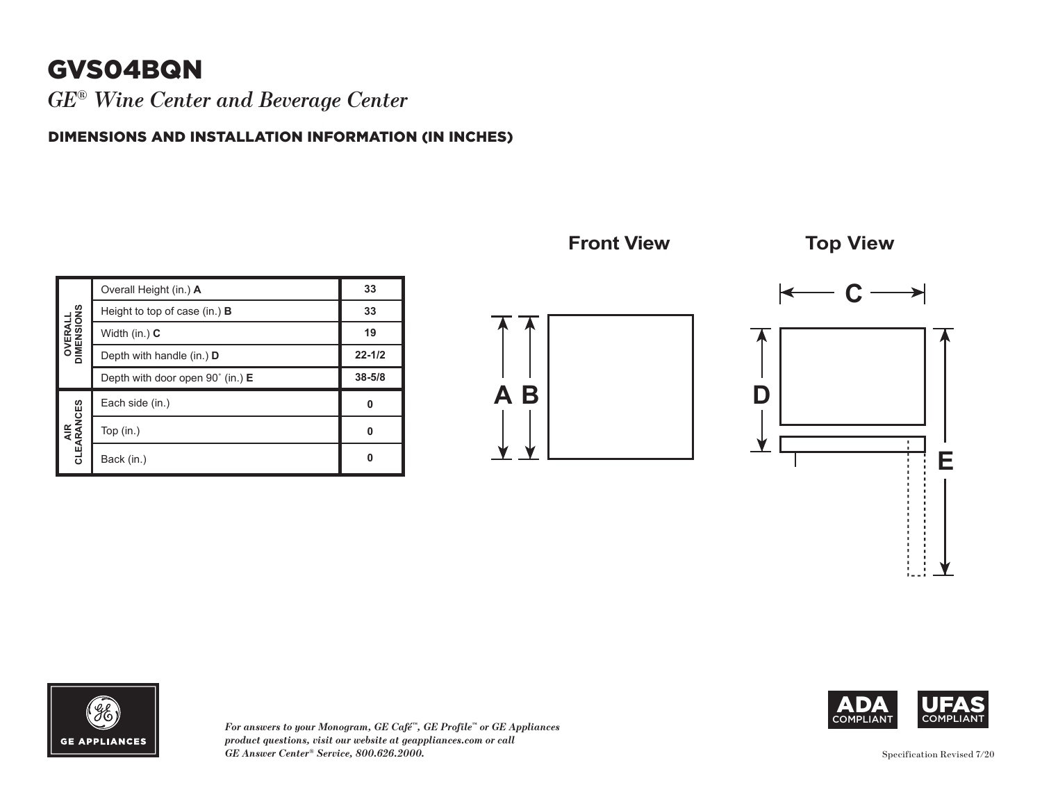## **GVS04BQN**

*GE® Wine Center and Beverage Center*

DIMENSIONS AND INSTALLATION INFORMATION (IN INCHES)

| <b>OVERALL</b><br>DIMENSIONS | Overall Height (in.) A               | 33         |
|------------------------------|--------------------------------------|------------|
|                              | Height to top of case (in.) $\bf{B}$ | 33         |
|                              | Width $(in.)$ $C$                    | 19         |
|                              | Depth with handle (in.) D            | $22 - 1/2$ |
|                              | Depth with door open 90° (in.) E     | $38 - 5/8$ |
| AIR<br>CLEARANCES            | Each side (in.)                      | Ω          |
|                              | Top $(in.)$                          | n          |
|                              | Back (in.)                           |            |







*For answers to your Monogram, GE Café™, GE Profile™ or GE Appliances product questions, visit our website at geappliances.com or call GE Answer Center® Service, 800.626.2000.*